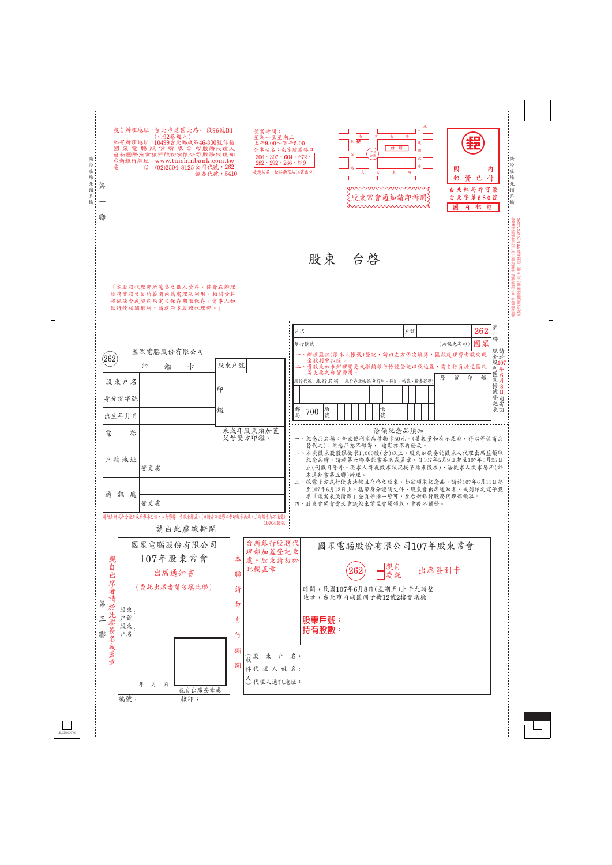